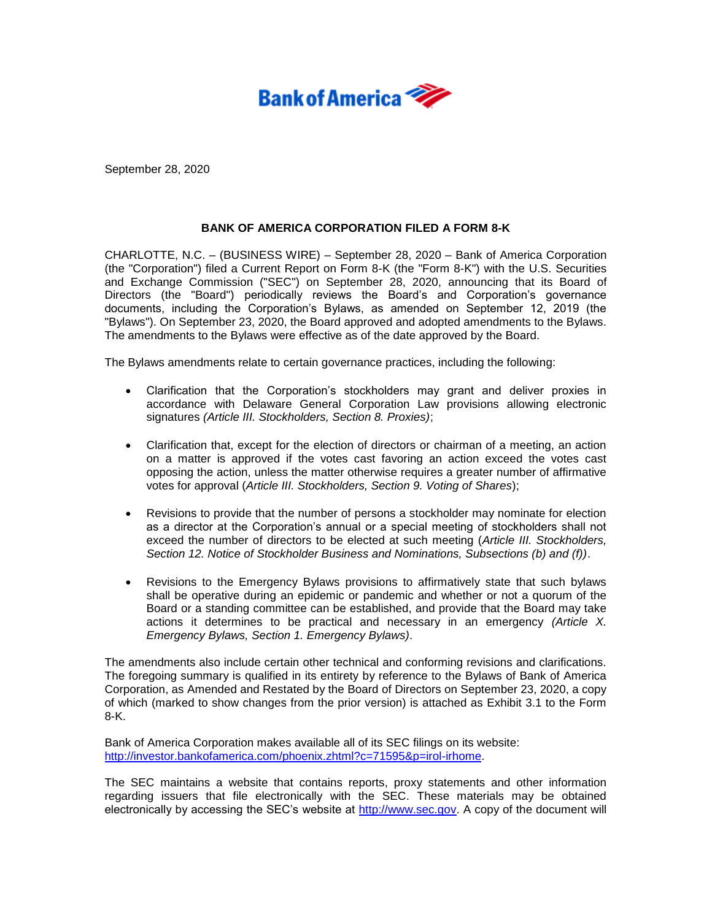

September 28, 2020

## **BANK OF AMERICA CORPORATION FILED A FORM 8-K**

CHARLOTTE, N.C. – (BUSINESS WIRE) – September 28, 2020 – Bank of America Corporation (the "Corporation") filed a Current Report on Form 8-K (the "Form 8-K") with the U.S. Securities and Exchange Commission ("SEC") on September 28, 2020, announcing that its Board of Directors (the "Board") periodically reviews the Board's and Corporation's governance documents, including the Corporation's Bylaws, as amended on September 12, 2019 (the "Bylaws"). On September 23, 2020, the Board approved and adopted amendments to the Bylaws. The amendments to the Bylaws were effective as of the date approved by the Board.

The Bylaws amendments relate to certain governance practices, including the following:

- Clarification that the Corporation's stockholders may grant and deliver proxies in accordance with Delaware General Corporation Law provisions allowing electronic signatures *(Article III. Stockholders, Section 8. Proxies)*;
- Clarification that, except for the election of directors or chairman of a meeting, an action on a matter is approved if the votes cast favoring an action exceed the votes cast opposing the action, unless the matter otherwise requires a greater number of affirmative votes for approval (*Article III. Stockholders, Section 9. Voting of Shares*);
- Revisions to provide that the number of persons a stockholder may nominate for election as a director at the Corporation's annual or a special meeting of stockholders shall not exceed the number of directors to be elected at such meeting (*Article III. Stockholders, Section 12. Notice of Stockholder Business and Nominations, Subsections (b) and (f))*.
- Revisions to the Emergency Bylaws provisions to affirmatively state that such bylaws shall be operative during an epidemic or pandemic and whether or not a quorum of the Board or a standing committee can be established, and provide that the Board may take actions it determines to be practical and necessary in an emergency *(Article X. Emergency Bylaws, Section 1. Emergency Bylaws)*.

The amendments also include certain other technical and conforming revisions and clarifications. The foregoing summary is qualified in its entirety by reference to the Bylaws of Bank of America Corporation, as Amended and Restated by the Board of Directors on September 23, 2020, a copy of which (marked to show changes from the prior version) is attached as Exhibit 3.1 to the Form 8-K.

Bank of America Corporation makes available all of its SEC filings on its website: [http://investor.bankofamerica.com/phoenix.zhtml?c=71595&p=irol-irhome.](http://investor.bankofamerica.com/phoenix.zhtml?c=71595&p=irol-irhome)

The SEC maintains a website that contains reports, proxy statements and other information regarding issuers that file electronically with the SEC. These materials may be obtained electronically by accessing the SEC's website at [http://www.sec.gov.](http://www.sec.gov/) A copy of the document will